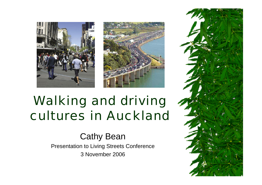



#### Walking and driving cultures in Auckland

Cathy Bean Presentation to Living Streets Conference 3 November 2006

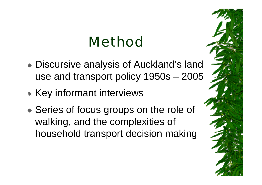## Method

- Discursive analysis of Auckland's land use and transport policy 1950s – 2005
- \* Key informant interviews
- Series of focus groups on the role of walking, and the complexities of household transport decision making

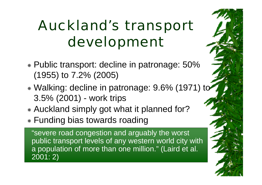## Auckland's transport development

- Public transport: decline in patronage: 50% (1955) to 7.2% (2005)
- Walking: decline in patronage: 9.6% (1971) to 3.5% (2001) - work trips
- Auckland simply got what it planned for?
- Funding bias towards roading

"severe road congestion and arguably the worst public transport levels of any western world city with a population of more than one million." (Laird et al. 2001: 2)

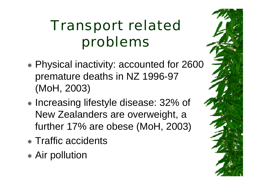## Transport related problems

- Physical inactivity: accounted for 2600 premature deaths in NZ 1996-97 (MoH, 2003)
- \* Increasing lifestyle disease: 32% of New Zealanders are overweight, a further 17% are obese (MoH, 2003)
- \* Traffic accidents
- Air pollution

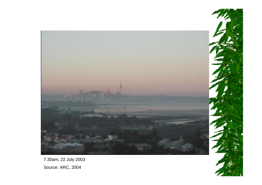

7.30am, 22 July 2003 Source: ARC, 2004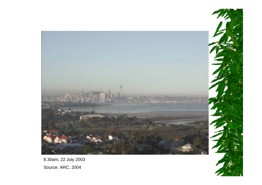

8.30am, 22 July 2003 Source: ARC, 2004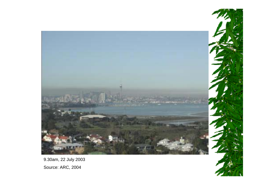

9.30am, 22 July 2003 Source: ARC, 2004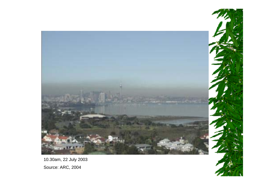

10.30am, 22 July 2003 Source: ARC, 2004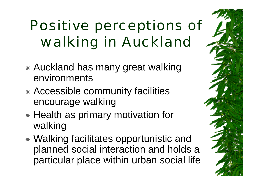# Positive perceptions of walking in Auckland

- Auckland has many great walking environments
- Accessible community facilities encourage walking
- \* Health as primary motivation for walking
- Walking facilitates opportunistic and planned social interaction and holds a particular place within urban social life

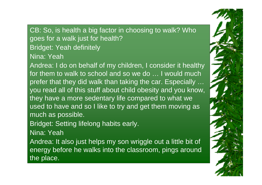CB: So, is health a big factor in choosing to walk? Who goes for a walk just for health? Bridget: Yeah definitely Nina: Yeah

Andrea: I do on behalf of my children, I consider it healthy for them to walk to school and so we do … I would much prefer that they did walk than taking the car. Especially … you read all of this stuff about child obesity and you know, they have a more sedentary life compared to what we used to have and so I like to try and get them moving as much as possible.

Bridget: Setting lifelong habits early.

Nina: Yeah

Andrea: It also just helps my son wriggle out a little bit of energy before he walks into the classroom, pings around the place.

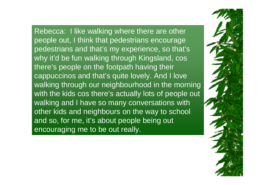Rebecca: I like walking where there are other people out, I think that pedestrians encourage pedestrians and that's my experience, so that's why it'd be fun walking through Kingsland, cos there's people on the footpath having their cappuccinos and that's quite lovely. And I love walking through our neighbourhood in the morning with the kids cos there's actually lots of people out walking and I have so many conversations with other kids and neighbours on the way to school and so, for me, it's about people being out encouraging me to be out really.

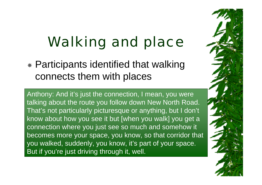## Walking and place

 Participants identified that walking connects them with places

Anthony: And it's just the connection, I mean, you were talking about the route you follow down New North Road. That's not particularly picturesque or anything, but I don't know about how you see it but [when you walk] you get a connection where you just see so much and somehow it becomes more your space, you know, so that corridor that you walked, suddenly, you know, it's part of your space. But if you're just driving through it, well.

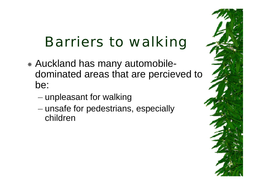## Barriers to walking

- Auckland has many automobiledominated areas that are percieved to be:
	- – $-$  unpleasant for walking
	- –– unsafe for pedestrians, especially children

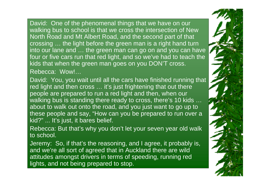David: One of the phenomenal things that we have on our walking bus to school is that we cross the intersection of New North Road and Mt Albert Road, and the second part of that crossing … the light before the green man is a right hand turn into our lane and … the green man can go on and you can have four or five cars run that red light, and so we've had to teach the kids that when the green man goes on you DON'T cross. Rebecca: Wow!…

David: You, you wait until all the cars have finished running that red light and then cross ... it's just frightening that out there people are prepared to run a red light and then, when our walking bus is standing there ready to cross, there's 10 kids … about to walk out onto the road, and you just want to go up to these people and say, "How can you be prepared to run over a kid?" ... It's just, it bares belief.

Rebecca: But that's why you don't let your seven year old walk to school.

Jeremy: So, if that's the reasoning, and I agree, it probably is, and we're all sort of agreed that in Auckland there are wild attitudes amongst drivers in terms of speeding, running red lights, and not being prepared to stop.

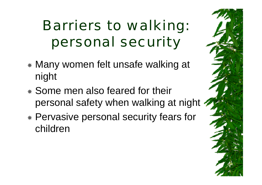# Barriers to walking: personal security

- Many women felt unsafe walking at night
- Some men also feared for their personal safety when walking at night
- Pervasive personal security fears for children

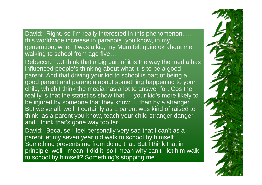David: Right, so I'm really interested in this phenomenon, ... this worldwide increase in paranoia, you know, in my generation, when I was a kid, my Mum felt quite ok about me walking to school from age five…

Rebecca: …I think that a big part of it is the way the media has influenced people's thinking about what it is to be a good parent. And that driving your kid to school is part of being a good parent and paranoia about something happening to your child, which I think the media has a lot to answer for. Cos the reality is that the statistics show that … your kid's more likely to be injured by someone that they know ... than by a stranger. But we've all, well, I certainly as a parent was kind of raised to think, as a parent you know, teach your child stranger danger and I think that's gone way too far.

David: Because I feel personally very sad that I can't as a parent let my seven year old walk to school by himself. Something prevents me from doing that. But I think that in principle, well I mean, I did it, so I mean why can't I let him walk to school by himself? Something's stopping me.

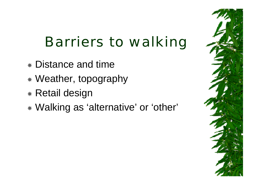#### Barriers to walking

- Distance and time
- Weather, topography
- Retail design
- Walking as 'alternative' or 'other'

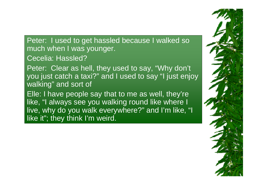Peter: I used to get hassled because I walked so much when I was younger.

Cecelia: Hassled?

Peter: Clear as hell, they used to say, "Why don't you just catch a taxi?" and I used to say "I just enjoy walking" and sort of

Elle: I have people say that to me as well, they're like, "I always see you walking round like where I live, why do you walk everywhere?" and I'm like, "I like it"; they think I'm weird.

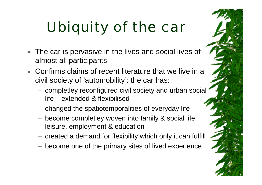# Ubiquity of the car

- The car is pervasive in the lives and social lives of almost all participants
- ☀ Confirms claims of recent literature that we live in a civil society of 'automobility': the car has:
	- – completley reconfigured civil society and urban social life – extended & flexibilised
	- $-$  changed the spatiotemporalities of everyday life
	- become completley woven into family & social life, leisure, employment & education
	- $-$  created a demand for flexibility which only it can fulfill
	- become one of the primary sites of lived experience

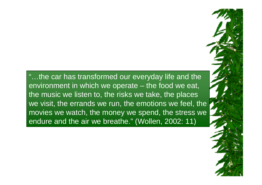"…the car has transformed our everyday life and the environment in which we operate – the food we eat, the music we listen to, the risks we take, the places we visit, the errands we run, the emotions we feel, the movies we watch, the money we spend, the stress we endure and the air we breathe." (Wollen, 2002: 11)

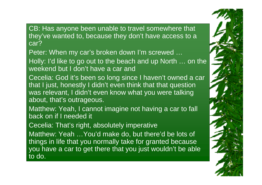CB: Has anyone been unable to travel somewhere that they've wanted to, because they don't have access to a car?

Peter: When my car's broken down I'm screwed …

Holly: I'd like to go out to the beach and up North … on the weekend but I don't have a car and

Cecelia: God it's been so long since I haven't owned a car that I just, honestly I didn't even think that that question was relevant, I didn't even know what you were talking about, that's outrageous.

Matthew: Yeah, I cannot imagine not having a car to fall back on if I needed it

Cecelia: That's right, absolutely imperative

Matthew: Yeah …You'd make do, but there'd be lots of things in life that you normally take for granted because you have a car to get there that you just wouldn't be able to do.

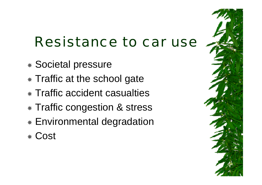### Resistance to car use

- Societal pressure
- **\* Traffic at the school gate**
- Traffic accident casualties
- Traffic congestion & stress
- Environmental degradation
- Cost

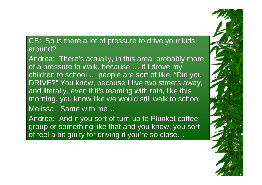#### CB: So is there a lot of pressure to drive your kids around?

Andrea: There's actually, in this area, probably more of a pressure to walk, because … if I drove my children to school ... people are sort of like, "Did you DRIVE?" You know, because I live two streets away, and literally, even if it's teaming with rain, like this morning, you know like we would still walk to school Melissa: Same with me…

Andrea: And if you sort of turn up to Plunket coffee group or something like that and you know, you sort of feel a bit guilty for driving if you're so close…

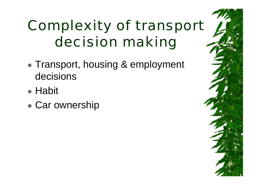# Complexity of transport decision making

- Transport, housing & employment decisions
- \* Habit
- Car ownership

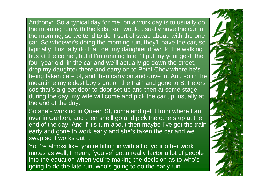Anthony: So a typical day for me, on a work day is to usually do the morning run with the kids, so I would usually have the car in the morning, so we tend to do it sort of swap about, with the one car. So whoever's doing the morning run, they'll have the car, so typically, I usually do that, get my daughter down to the walking bus at the corner, but if I'm running late I'll put my youngest, the four year old, in the car and we'll actually go down the street, drop my daughter there and carry on to Point Chev where he's being taken care of, and then carry on and drive in. And so in the meantime my eldest boy's got on the train and gone to St Peters cos that's a great door-to-door set up and then at some stage during the day, my wife will come and pick the car up, usually at the end of the day.

So she's working in Queen St, come and get it from where I am over in Grafton, and then she'll go and pick the others up at the end of the day. And if it's turn about then maybe I've got the train early and gone to work early and she's taken the car and we swap so it works out…

You're almost like, you're fitting in with all of your other work mates as well, I mean, [you've] gotta really factor a lot of people into the equation when you're making the decision as to who's going to do the late run, who's going to do the early run.

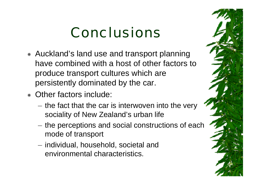## Conclusions

- Auckland's land use and transport planning have combined with a host of other factors to produce transport cultures which are persistently dominated by the car.
- Other factors include:
	- $-$  the fact that the car is interwoven into the very sociality of New Zealand's urban life
	- $-$  the perceptions and social constructions of each mode of transport
	- $-$  individual, household, societal and  $\,$ environmental characteristics.

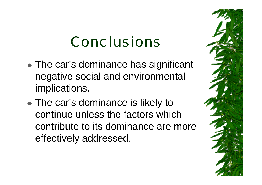## Conclusions

- The car's dominance has significant negative social and environmental implications.
- The car's dominance is likely to continue unless the factors which contribute to its dominance are more effectively addressed.